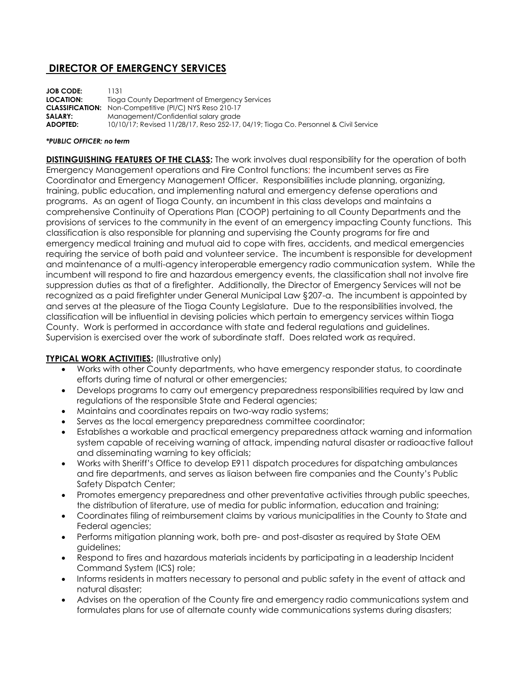# **DIRECTOR OF EMERGENCY SERVICES**

**JOB CODE:** 1131 **LOCATION:** Tioga County Department of Emergency Services **CLASSIFICATION:** Non-Competitive (PI/C) NYS Reso 210-17 **SALARY:** Management/Confidential salary grade **ADOPTED:** 10/10/17; Revised 11/28/17, Reso 252-17, 04/19; Tioga Co. Personnel & Civil Service

#### *\*PUBLIC OFFICER; no term*

**DISTINGUISHING FEATURES OF THE CLASS:** The work involves dual responsibility for the operation of both Emergency Management operations and Fire Control functions; the incumbent serves as Fire Coordinator and Emergency Management Officer. Responsibilities include planning, organizing, training, public education, and implementing natural and emergency defense operations and programs. As an agent of Tioga County, an incumbent in this class develops and maintains a comprehensive Continuity of Operations Plan (COOP) pertaining to all County Departments and the provisions of services to the community in the event of an emergency impacting County functions. This classification is also responsible for planning and supervising the County programs for fire and emergency medical training and mutual aid to cope with fires, accidents, and medical emergencies requiring the service of both paid and volunteer service. The incumbent is responsible for development and maintenance of a multi-agency interoperable emergency radio communication system. While the incumbent will respond to fire and hazardous emergency events, the classification shall not involve fire suppression duties as that of a firefighter. Additionally, the Director of Emergency Services will not be recognized as a paid firefighter under General Municipal Law §207-a. The incumbent is appointed by and serves at the pleasure of the Tioga County Legislature. Due to the responsibilities involved, the classification will be influential in devising policies which pertain to emergency services within Tioga County. Work is performed in accordance with state and federal regulations and guidelines. Supervision is exercised over the work of subordinate staff. Does related work as required.

# **TYPICAL WORK ACTIVITIES:** (Illustrative only)

- Works with other County departments, who have emergency responder status, to coordinate efforts during time of natural or other emergencies;
- Develops programs to carry out emergency preparedness responsibilities required by law and regulations of the responsible State and Federal agencies;
- Maintains and coordinates repairs on two-way radio systems;
- Serves as the local emergency preparedness committee coordinator;
- Establishes a workable and practical emergency preparedness attack warning and information system capable of receiving warning of attack, impending natural disaster or radioactive fallout and disseminating warning to key officials;
- Works with Sheriff's Office to develop E911 dispatch procedures for dispatching ambulances and fire departments, and serves as liaison between fire companies and the County's Public Safety Dispatch Center;
- Promotes emergency preparedness and other preventative activities through public speeches, the distribution of literature, use of media for public information, education and training;
- Coordinates filing of reimbursement claims by various municipalities in the County to State and Federal agencies;
- Performs mitigation planning work, both pre- and post-disaster as required by State OEM guidelines;
- Respond to fires and hazardous materials incidents by participating in a leadership Incident Command System (ICS) role;
- Informs residents in matters necessary to personal and public safety in the event of attack and natural disaster;
- Advises on the operation of the County fire and emergency radio communications system and formulates plans for use of alternate county wide communications systems during disasters;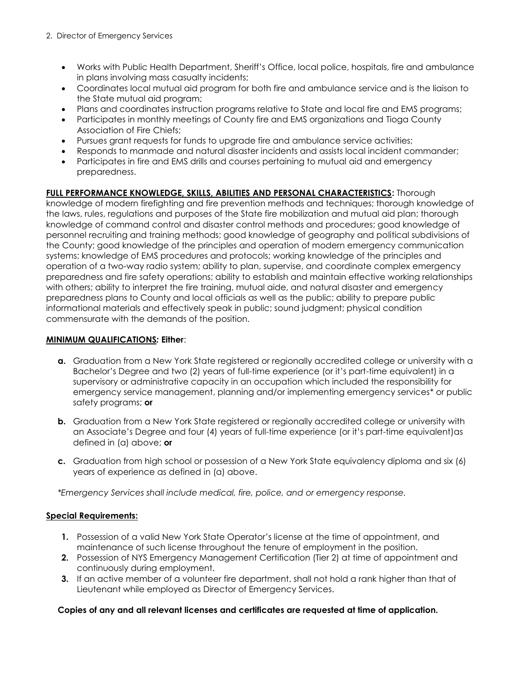- Works with Public Health Department, Sheriff's Office, local police, hospitals, fire and ambulance in plans involving mass casualty incidents;
- Coordinates local mutual aid program for both fire and ambulance service and is the liaison to the State mutual aid program;
- Plans and coordinates instruction programs relative to State and local fire and EMS programs;
- Participates in monthly meetings of County fire and EMS organizations and Tioga County Association of Fire Chiefs;
- Pursues grant requests for funds to upgrade fire and ambulance service activities;
- Responds to manmade and natural disaster incidents and assists local incident commander;
- Participates in fire and EMS drills and courses pertaining to mutual aid and emergency preparedness.

# **FULL PERFORMANCE KNOWLEDGE, SKILLS, ABILITIES AND PERSONAL CHARACTERISTICS:** Thorough

knowledge of modern firefighting and fire prevention methods and techniques; thorough knowledge of the laws, rules, regulations and purposes of the State fire mobilization and mutual aid plan; thorough knowledge of command control and disaster control methods and procedures; good knowledge of personnel recruiting and training methods; good knowledge of geography and political subdivisions of the County; good knowledge of the principles and operation of modern emergency communication systems; knowledge of EMS procedures and protocols; working knowledge of the principles and operation of a two-way radio system; ability to plan, supervise, and coordinate complex emergency preparedness and fire safety operations; ability to establish and maintain effective working relationships with others; ability to interpret the fire training, mutual aide, and natural disaster and emergency preparedness plans to County and local officials as well as the public; ability to prepare public informational materials and effectively speak in public; sound judgment; physical condition commensurate with the demands of the position.

# **MINIMUM QUALIFICATIONS***:* **Either**:

- **a.** Graduation from a New York State registered or regionally accredited college or university with a Bachelor's Degree and two (2) years of full-time experience (or it's part-time equivalent) in a supervisory or administrative capacity in an occupation which included the responsibility for emergency service management, planning and/or implementing emergency services\* or public safety programs; **or**
- **b.** Graduation from a New York State registered or regionally accredited college or university with an Associate's Degree and four (4) years of full-time experience (or it's part-time equivalent)as defined in (a) above; **or**
- **c.** Graduation from high school or possession of a New York State equivalency diploma and six (6) years of experience as defined in (a) above.

*\*Emergency Services shall include medical, fire, police, and or emergency response.* 

# **Special Requirements:**

- **1.** Possession of a valid New York State Operator's license at the time of appointment, and maintenance of such license throughout the tenure of employment in the position.
- **2.** Possession of NYS Emergency Management Certification (Tier 2) at time of appointment and continuously during employment.
- **3.** If an active member of a volunteer fire department, shall not hold a rank higher than that of Lieutenant while employed as Director of Emergency Services.

# **Copies of any and all relevant licenses and certificates are requested at time of application.**